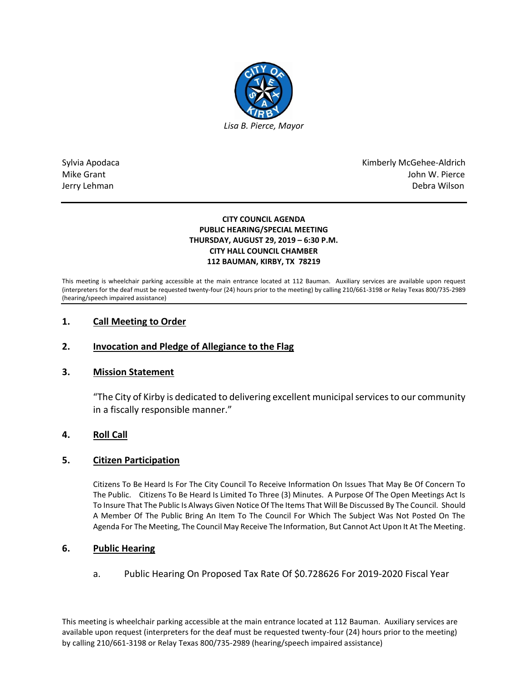

Sylvia Apodaca National Apodaca Kimberly McGehee-Aldrich Mike Grant John W. Pierce Jerry Lehman Debra Wilson

#### **CITY COUNCIL AGENDA PUBLIC HEARING/SPECIAL MEETING THURSDAY, AUGUST 29, 2019 – 6:30 P.M. CITY HALL COUNCIL CHAMBER 112 BAUMAN, KIRBY, TX 78219**

This meeting is wheelchair parking accessible at the main entrance located at 112 Bauman. Auxiliary services are available upon request (interpreters for the deaf must be requested twenty-four (24) hours prior to the meeting) by calling 210/661-3198 or Relay Texas 800/735-2989 (hearing/speech impaired assistance)

# **1. Call Meeting to Order**

# **2. Invocation and Pledge of Allegiance to the Flag**

# **3. Mission Statement**

"The City of Kirby is dedicated to delivering excellent municipal services to our community in a fiscally responsible manner."

# **4. Roll Call**

#### **5. Citizen Participation**

Citizens To Be Heard Is For The City Council To Receive Information On Issues That May Be Of Concern To The Public. Citizens To Be Heard Is Limited To Three (3) Minutes. A Purpose Of The Open Meetings Act Is To Insure That The Public Is Always Given Notice Of The Items That Will Be Discussed By The Council. Should A Member Of The Public Bring An Item To The Council For Which The Subject Was Not Posted On The Agenda For The Meeting, The Council May Receive The Information, But Cannot Act Upon It At The Meeting.

#### **6. Public Hearing**

a. Public Hearing On Proposed Tax Rate Of \$0.728626 For 2019-2020 Fiscal Year

This meeting is wheelchair parking accessible at the main entrance located at 112 Bauman. Auxiliary services are available upon request (interpreters for the deaf must be requested twenty-four (24) hours prior to the meeting) by calling 210/661-3198 or Relay Texas 800/735-2989 (hearing/speech impaired assistance)